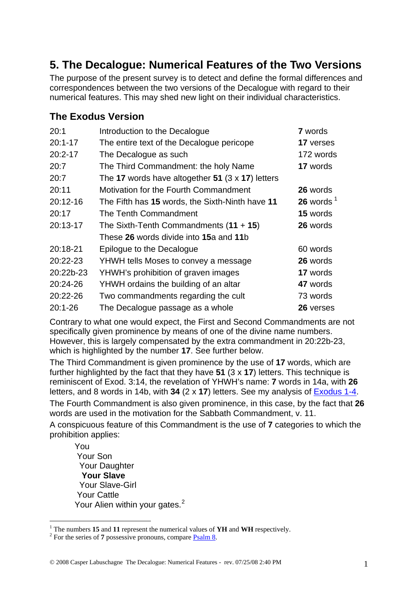## **5. The Decalogue: Numerical Features of the Two Versions**

The purpose of the present survey is to detect and define the formal differences and correspondences between the two versions of the Decalogue with regard to their numerical features. This may shed new light on their individual characteristics.

## **The Exodus Version**

| 20:1        | Introduction to the Decalogue                           | <b>7</b> words          |
|-------------|---------------------------------------------------------|-------------------------|
| $20:1 - 17$ | The entire text of the Decalogue pericope               | 17 verses               |
| $20:2 - 17$ | The Decalogue as such                                   | 172 words               |
| 20:7        | The Third Commandment: the holy Name                    | 17 words                |
| 20:7        | The 17 words have altogether 51 $(3 \times 17)$ letters |                         |
| 20:11       | Motivation for the Fourth Commandment                   | 26 words                |
| 20:12-16    | The Fifth has 15 words, the Sixth-Ninth have 11         | $26$ words <sup>1</sup> |
| 20:17       | The Tenth Commandment                                   | 15 words                |
| 20:13-17    | The Sixth-Tenth Commandments $(11 + 15)$                | 26 words                |
|             | These 26 words divide into 15a and 11b                  |                         |
| 20:18-21    | Epilogue to the Decalogue                               | 60 words                |
| 20:22-23    | YHWH tells Moses to convey a message                    | 26 words                |
| 20:22b-23   | YHWH's prohibition of graven images                     | 17 words                |
| 20:24-26    | YHWH ordains the building of an altar                   | 47 words                |
| 20:22-26    | Two commandments regarding the cult                     | 73 words                |
| $20:1 - 26$ | The Decalogue passage as a whole                        | 26 verses               |

Contrary to what one would expect, the First and Second Commandments are not specifically given prominence by means of one of the divine name numbers. However, this is largely compensated by the extra commandment in 20:22b-23, which is highlighted by the number **17**. See further below.

The Third Commandment is given prominence by the use of **17** words, which are further highlighted by the fact that they have **51** (3 x **17**) letters. This technique is reminiscent of Exod. 3:14, the revelation of YHWH's name: **7** words in 14a, with **26** letters, and 8 words in 14b, with **34** (2 x **17**) letters. See my analysis of [Exodus 1-4.](http://www.labuschagne.nl/2.exod1-4.pdf) The Fourth Commandment is also given prominence, in this case, by the fact that **26** words are used in the motivation for the Sabbath Commandment, v. 11.

A conspicuous feature of this Commandment is the use of **7** categories to which the prohibition applies:

You Your Son Your Daughter **Your Slave**  Your Slave-Girl Your Cattle Your Alien within your gates.<sup>[2](#page-0-1)</sup>

1

<span id="page-0-0"></span><sup>&</sup>lt;sup>1</sup> The numbers **15** and **11** represent the numerical values of **YH** and **WH** respectively.

<span id="page-0-1"></span><sup>&</sup>lt;sup>2</sup> For the series of **7** possessive pronouns, compare [Psalm 8](http://www.labuschagne.nl/ps008.pdf).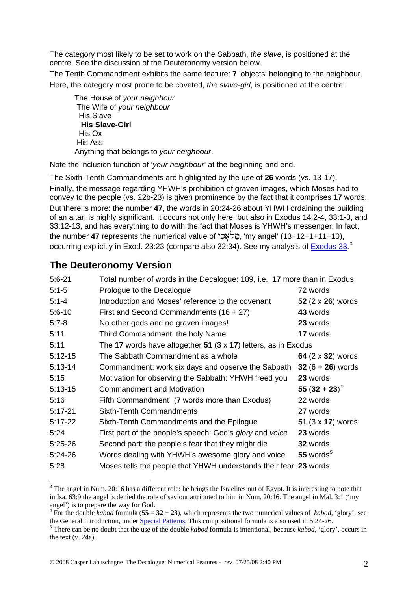The category most likely to be set to work on the Sabbath, *the slave*, is positioned at the centre. See the discussion of the Deuteronomy version below.

The Tenth Commandment exhibits the same feature: **7** 'objects' belonging to the neighbour. Here, the category most prone to be coveted, *the slave-girl*, is positioned at the centre:

 The House of *your neighbour* The Wife of *your neighbour* His Slave **His Slave-Girl**  His Ox His Ass Anything that belongs to *your neighbour*.

Note the inclusion function of '*your neighbour*' at the beginning and end.

The Sixth-Tenth Commandments are highlighted by the use of **26** words (vs. 13-17). Finally, the message regarding YHWH's prohibition of graven images, which Moses had to convey to the people (vs. 22b-23) is given prominence by the fact that it comprises **17** words. But there is more: the number **47**, the words in 20:24-26 about YHWH ordaining the building of an altar, is highly significant. It occurs not only here, but also in Exodus 14:2-4, 33:1-3, and 33:12-13, and has everything to do with the fact that Moses is YHWH's messenger. In fact, the number **47** represents the numerical value of מֲלֹאֲכָּי, 'my angel' (13+12+1+11+10), occurring explicitly in Exod. 23:23 (compare also 32:34). See my analysis of [Exodus 33.](http://www.labuschagne.nl/7.exod33.pdf)<sup>[3](#page-1-0)</sup>

## **The Deuteronomy Version**

1

| $5:6 - 21$ | Total number of words in the Decalogue: 189, i.e., 17 more than in Exodus |                          |
|------------|---------------------------------------------------------------------------|--------------------------|
| $5:1 - 5$  | Prologue to the Decalogue                                                 | 72 words                 |
| $5:1 - 4$  | Introduction and Moses' reference to the covenant                         | 52 $(2 \times 26)$ words |
| $5:6 - 10$ | First and Second Commandments $(16 + 27)$                                 | 43 words                 |
| $5:7-8$    | No other gods and no graven images!                                       | 23 words                 |
| 5:11       | Third Commandment: the holy Name                                          | 17 words                 |
| 5:11       | The 17 words have altogether 51 $(3 \times 17)$ letters, as in Exodus     |                          |
| $5:12-15$  | The Sabbath Commandment as a whole                                        | 64 (2 x 32) words        |
| $5:13-14$  | Commandment: work six days and observe the Sabbath                        | 32 $(6 + 26)$ words      |
| 5:15       | Motivation for observing the Sabbath: YHWH freed you                      | 23 words                 |
| $5:13-15$  | <b>Commandment and Motivation</b>                                         | 55 $(32 + 23)^4$         |
| 5:16       | Fifth Commandment (7 words more than Exodus)                              | 22 words                 |
| $5:17-21$  | <b>Sixth-Tenth Commandments</b>                                           | 27 words                 |
| $5:17-22$  | Sixth-Tenth Commandments and the Epilogue                                 | 51 $(3 \times 17)$ words |
| 5:24       | First part of the people's speech: God's glory and voice                  | 23 words                 |
| $5:25-26$  | Second part: the people's fear that they might die                        | <b>32</b> words          |
| $5:24-26$  | Words dealing with YHWH's awesome glory and voice                         | 55 words $5$             |
| 5:28       | Moses tells the people that YHWH understands their fear 23 words          |                          |

<span id="page-1-0"></span> $3$  The angel in Num. 20:16 has a different role: he brings the Israelites out of Egypt. It is interesting to note that in Isa. 63:9 the angel is denied the role of saviour attributed to him in Num. 20:16. The angel in Mal. 3:1 ('my angel') is to prepare the way for God. 4

<span id="page-1-1"></span><sup>&</sup>lt;sup>4</sup> For the double *kabod* formula (55 =  $32 + 23$ ), which represents the two numerical values of *kabod*, 'glory', see the General Introduction, under **Special Patterns**. This compositional formula is also used in 5:24-26.

<span id="page-1-2"></span>There can be no doubt that the use of the double *kabod* formula is intentional, because *kabod*, 'glory', occurs in the text (v. 24a).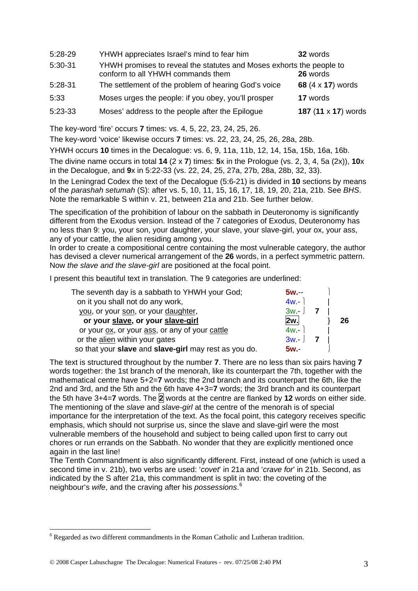| 5:28-29 | YHWH appreciates Israel's mind to fear him                                                                | 32 words            |
|---------|-----------------------------------------------------------------------------------------------------------|---------------------|
| 5:30-31 | YHWH promises to reveal the statutes and Moses exhorts the people to<br>conform to all YHWH commands them | 26 words            |
| 5:28-31 | The settlement of the problem of hearing God's voice                                                      | 68 (4 x 17) words   |
| 5:33    | Moses urges the people: if you obey, you'll prosper                                                       | 17 words            |
| 5:23-33 | Moses' address to the people after the Epilogue                                                           | 187 (11 x 17) words |

The key-word 'fire' occurs **7** times: vs. 4, 5, 22, 23, 24, 25, 26.

The key-word 'voice' likewise occurs **7** times: vs. 22, 23, 24, 25, 26, 28a, 28b.

YHWH occurs **10** times in the Decalogue: vs. 6, 9, 11a, 11b, 12, 14, 15a, 15b, 16a, 16b.

The divine name occurs in total **14** (2 x **7**) times: **5**x in the Prologue (vs. 2, 3, 4, 5a (2x)), **10**x in the Decalogue, and **9**x in 5:22-33 (vs. 22, 24, 25, 27a, 27b, 28a, 28b, 32, 33).

In the Leningrad Codex the text of the Decalogue (5:6-21) is divided in **10** sections by means of the *parashah setumah* (S): after vs. 5, 10, 11, 15, 16, 17, 18, 19, 20, 21a, 21b. See *BHS*. Note the remarkable S within v. 21, between 21a and 21b. See further below.

The specification of the prohibition of labour on the sabbath in Deuteronomy is significantly different from the Exodus version. Instead of the 7 categories of Exodus, Deuteronomy has no less than 9: you, your son, your daughter, your slave, your slave-girl, your ox, your ass, any of your cattle, the alien residing among you.

In order to create a compositional centre containing the most vulnerable category, the author has devised a clever numerical arrangement of the **26** words, in a perfect symmetric pattern. Now *the slave and the slave-girl* are positioned at the focal point.

I present this beautiful text in translation. The 9 categories are underlined:

| $5w -$   |    |
|----------|----|
| $4w -$   |    |
| $3w - 1$ |    |
| 2w.      | 26 |
| $4w -$   |    |
| $3w - 1$ |    |
| $5w -$   |    |
|          |    |

The text is structured throughout by the number **7**. There are no less than six pairs having **7** words together: the 1st branch of the menorah, like its counterpart the 7th, together with the mathematical centre have 5+2=**7** words; the 2nd branch and its counterpart the 6th, like the 2nd and 3rd, and the 5th and the 6th have 4+3=**7** words; the 3rd branch and its counterpart the 5th have 3+4=**7** words. The **2** words at the centre are flanked by **12** words on either side. The mentioning of the *slave* and *slave-girl* at the centre of the menorah is of special importance for the interpretation of the text. As the focal point, this category receives specific emphasis, which should not surprise us, since the slave and slave-girl were the most vulnerable members of the household and subject to being called upon first to carry out chores or run errands on the Sabbath. No wonder that they are explicitly mentioned once again in the last line!

The Tenth Commandment is also significantly different. First, instead of one (which is used a second time in v. 21b), two verbs are used: '*covet*' in 21a and '*crave for*' in 21b. Second, as indicated by the S after 21a, this commandment is split in two: the coveting of the neighbour's *wife*, and the craving after his *possessions*. [6](#page-2-0)

1

<span id="page-2-0"></span> $6$  Regarded as two different commandments in the Roman Catholic and Lutheran tradition.